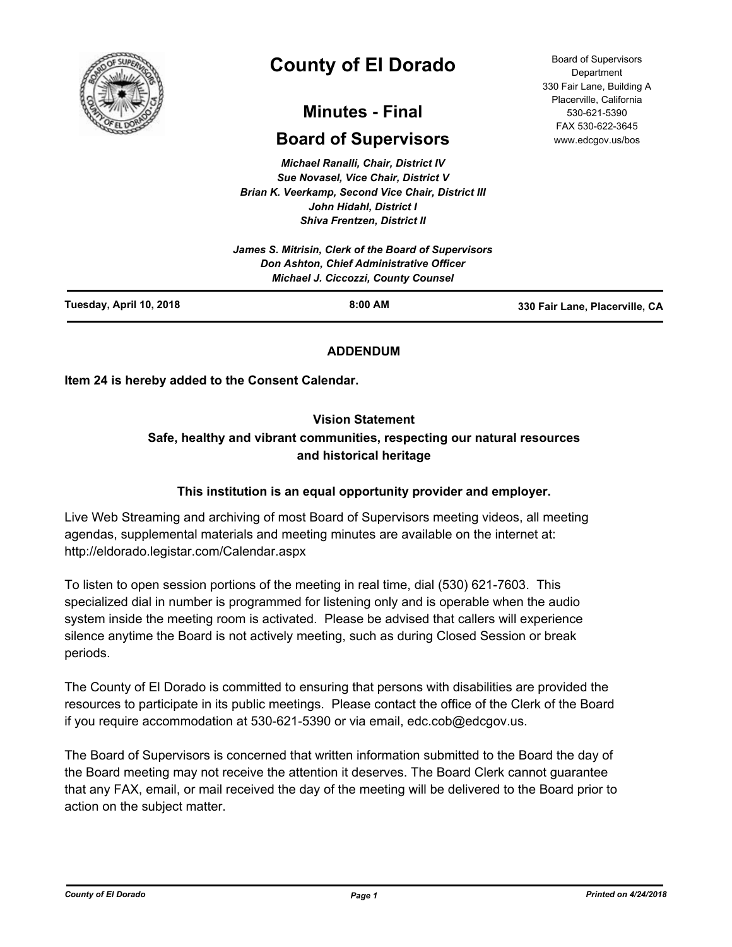

# **County of El Dorado**

## **Minutes - Final**

## **Board of Supervisors**

*Michael Ranalli, Chair, District IV Sue Novasel, Vice Chair, District V Brian K. Veerkamp, Second Vice Chair, District III John Hidahl, District I Shiva Frentzen, District II*

|                         | James S. Mitrisin, Clerk of the Board of Supervisors<br>Don Ashton, Chief Administrative Officer<br><b>Michael J. Ciccozzi, County Counsel</b> |                                |
|-------------------------|------------------------------------------------------------------------------------------------------------------------------------------------|--------------------------------|
| Tuesday, April 10, 2018 | $8:00$ AM                                                                                                                                      | 330 Fair Lane, Placerville, CA |

#### **ADDENDUM**

**Item 24 is hereby added to the Consent Calendar.**

#### **Vision Statement**

## **Safe, healthy and vibrant communities, respecting our natural resources and historical heritage**

#### **This institution is an equal opportunity provider and employer.**

Live Web Streaming and archiving of most Board of Supervisors meeting videos, all meeting agendas, supplemental materials and meeting minutes are available on the internet at: http://eldorado.legistar.com/Calendar.aspx

To listen to open session portions of the meeting in real time, dial (530) 621-7603. This specialized dial in number is programmed for listening only and is operable when the audio system inside the meeting room is activated. Please be advised that callers will experience silence anytime the Board is not actively meeting, such as during Closed Session or break periods.

The County of El Dorado is committed to ensuring that persons with disabilities are provided the resources to participate in its public meetings. Please contact the office of the Clerk of the Board if you require accommodation at 530-621-5390 or via email, edc.cob@edcgov.us.

The Board of Supervisors is concerned that written information submitted to the Board the day of the Board meeting may not receive the attention it deserves. The Board Clerk cannot guarantee that any FAX, email, or mail received the day of the meeting will be delivered to the Board prior to action on the subject matter.

*County of El Dorado Page 1 Printed on 4/24/2018*

Board of Supervisors Department 330 Fair Lane, Building A Placerville, California 530-621-5390 FAX 530-622-3645 www.edcgov.us/bos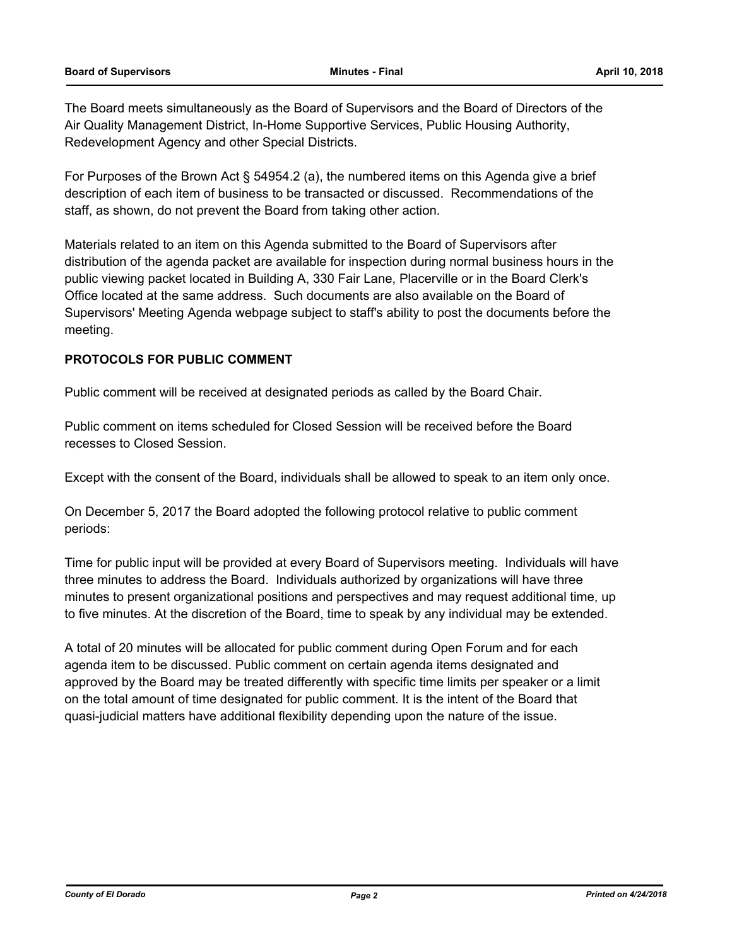The Board meets simultaneously as the Board of Supervisors and the Board of Directors of the Air Quality Management District, In-Home Supportive Services, Public Housing Authority, Redevelopment Agency and other Special Districts.

For Purposes of the Brown Act § 54954.2 (a), the numbered items on this Agenda give a brief description of each item of business to be transacted or discussed. Recommendations of the staff, as shown, do not prevent the Board from taking other action.

Materials related to an item on this Agenda submitted to the Board of Supervisors after distribution of the agenda packet are available for inspection during normal business hours in the public viewing packet located in Building A, 330 Fair Lane, Placerville or in the Board Clerk's Office located at the same address. Such documents are also available on the Board of Supervisors' Meeting Agenda webpage subject to staff's ability to post the documents before the meeting.

#### **PROTOCOLS FOR PUBLIC COMMENT**

Public comment will be received at designated periods as called by the Board Chair.

Public comment on items scheduled for Closed Session will be received before the Board recesses to Closed Session.

Except with the consent of the Board, individuals shall be allowed to speak to an item only once.

On December 5, 2017 the Board adopted the following protocol relative to public comment periods:

Time for public input will be provided at every Board of Supervisors meeting. Individuals will have three minutes to address the Board. Individuals authorized by organizations will have three minutes to present organizational positions and perspectives and may request additional time, up to five minutes. At the discretion of the Board, time to speak by any individual may be extended.

A total of 20 minutes will be allocated for public comment during Open Forum and for each agenda item to be discussed. Public comment on certain agenda items designated and approved by the Board may be treated differently with specific time limits per speaker or a limit on the total amount of time designated for public comment. It is the intent of the Board that quasi-judicial matters have additional flexibility depending upon the nature of the issue.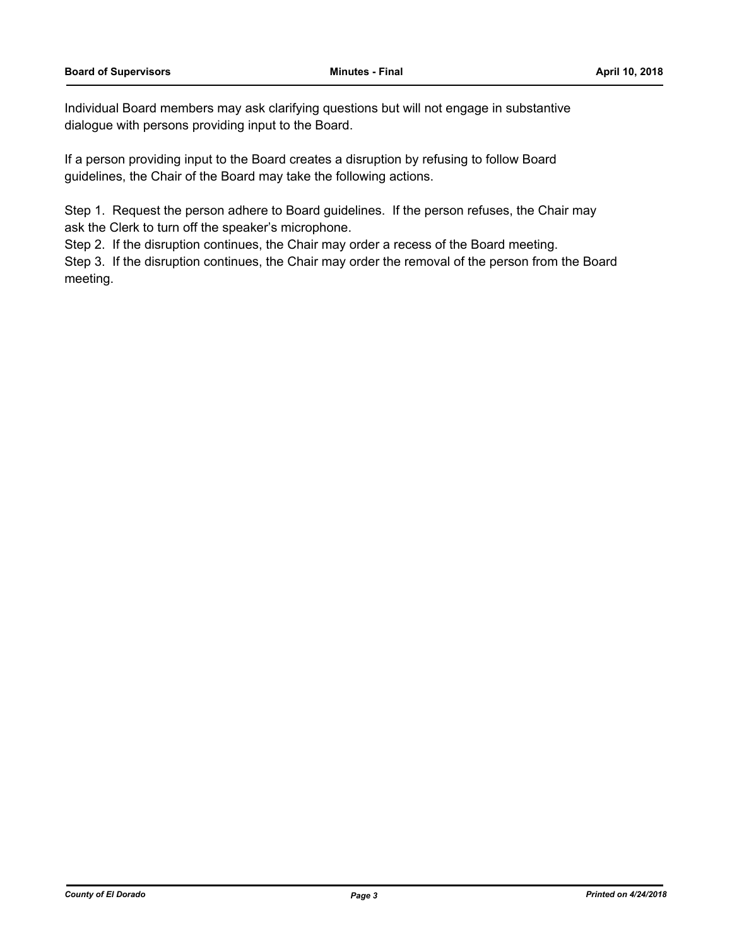Individual Board members may ask clarifying questions but will not engage in substantive dialogue with persons providing input to the Board.

If a person providing input to the Board creates a disruption by refusing to follow Board guidelines, the Chair of the Board may take the following actions.

Step 1. Request the person adhere to Board guidelines. If the person refuses, the Chair may ask the Clerk to turn off the speaker's microphone.

Step 2. If the disruption continues, the Chair may order a recess of the Board meeting.

Step 3. If the disruption continues, the Chair may order the removal of the person from the Board meeting.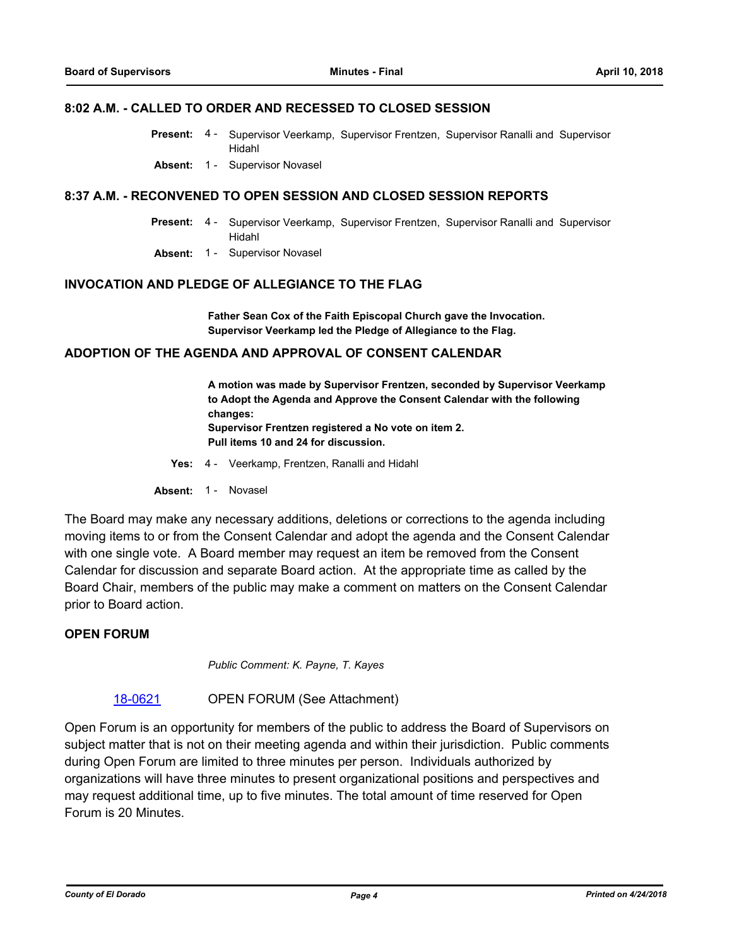#### **8:02 A.M. - CALLED TO ORDER AND RECESSED TO CLOSED SESSION**

- Present: 4 Supervisor Veerkamp, Supervisor Frentzen, Supervisor Ranalli and Supervisor Hidahl
- **Absent:** 1 Supervisor Novasel

#### **8:37 A.M. - RECONVENED TO OPEN SESSION AND CLOSED SESSION REPORTS**

- Supervisor Veerkamp, Supervisor Frentzen, Supervisor Ranalli and Supervisor Hidahl **Present:** 4 -
- **Absent:** 1 Supervisor Novasel

#### **INVOCATION AND PLEDGE OF ALLEGIANCE TO THE FLAG**

**Father Sean Cox of the Faith Episcopal Church gave the Invocation. Supervisor Veerkamp led the Pledge of Allegiance to the Flag.**

#### **ADOPTION OF THE AGENDA AND APPROVAL OF CONSENT CALENDAR**

**A motion was made by Supervisor Frentzen, seconded by Supervisor Veerkamp to Adopt the Agenda and Approve the Consent Calendar with the following changes: Supervisor Frentzen registered a No vote on item 2. Pull items 10 and 24 for discussion.**

- **Yes:** 4 Veerkamp, Frentzen, Ranalli and Hidahl
- Absent: 1 Novasel

The Board may make any necessary additions, deletions or corrections to the agenda including moving items to or from the Consent Calendar and adopt the agenda and the Consent Calendar with one single vote. A Board member may request an item be removed from the Consent Calendar for discussion and separate Board action. At the appropriate time as called by the Board Chair, members of the public may make a comment on matters on the Consent Calendar prior to Board action.

#### **OPEN FORUM**

*Public Comment: K. Payne, T. Kayes*

#### [18-0621](http://eldorado.legistar.com/gateway.aspx?m=l&id=/matter.aspx?key=23966) OPEN FORUM (See Attachment)

Open Forum is an opportunity for members of the public to address the Board of Supervisors on subject matter that is not on their meeting agenda and within their jurisdiction. Public comments during Open Forum are limited to three minutes per person. Individuals authorized by organizations will have three minutes to present organizational positions and perspectives and may request additional time, up to five minutes. The total amount of time reserved for Open Forum is 20 Minutes.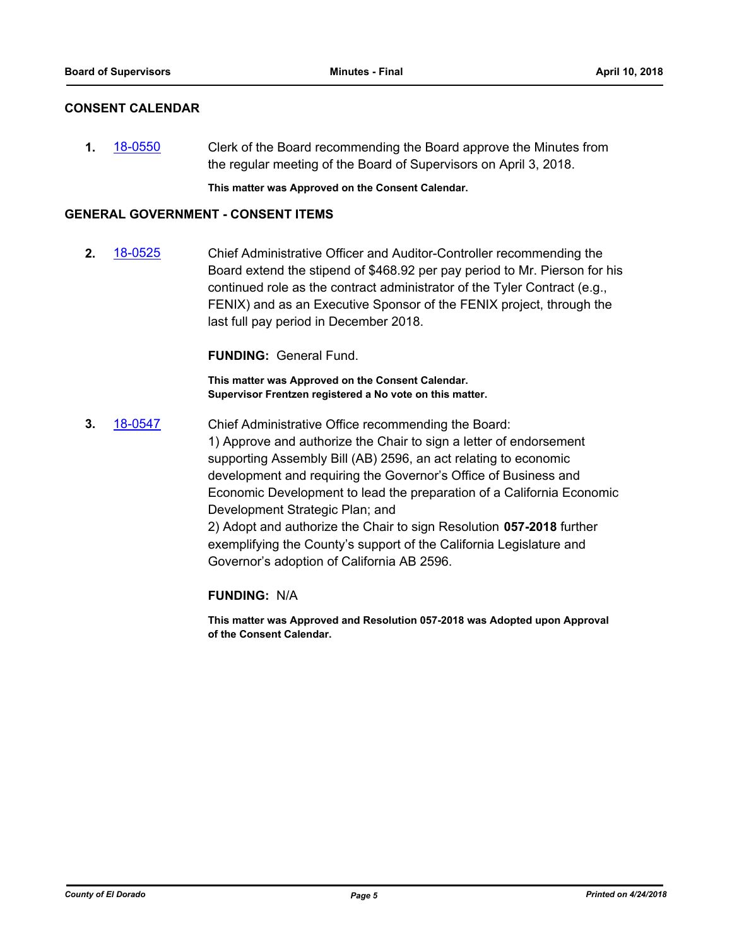#### **CONSENT CALENDAR**

**1.** [18-0550](http://eldorado.legistar.com/gateway.aspx?m=l&id=/matter.aspx?key=23895) Clerk of the Board recommending the Board approve the Minutes from the regular meeting of the Board of Supervisors on April 3, 2018.

**This matter was Approved on the Consent Calendar.**

#### **GENERAL GOVERNMENT - CONSENT ITEMS**

**2.** [18-0525](http://eldorado.legistar.com/gateway.aspx?m=l&id=/matter.aspx?key=23870) Chief Administrative Officer and Auditor-Controller recommending the Board extend the stipend of \$468.92 per pay period to Mr. Pierson for his continued role as the contract administrator of the Tyler Contract (e.g., FENIX) and as an Executive Sponsor of the FENIX project, through the last full pay period in December 2018.

**FUNDING:** General Fund.

**This matter was Approved on the Consent Calendar. Supervisor Frentzen registered a No vote on this matter.**

**3.** [18-0547](http://eldorado.legistar.com/gateway.aspx?m=l&id=/matter.aspx?key=23892) Chief Administrative Office recommending the Board: 1) Approve and authorize the Chair to sign a letter of endorsement supporting Assembly Bill (AB) 2596, an act relating to economic development and requiring the Governor's Office of Business and Economic Development to lead the preparation of a California Economic Development Strategic Plan; and 2) Adopt and authorize the Chair to sign Resolution **057-2018** further exemplifying the County's support of the California Legislature and Governor's adoption of California AB 2596.

#### **FUNDING:** N/A

**This matter was Approved and Resolution 057-2018 was Adopted upon Approval of the Consent Calendar.**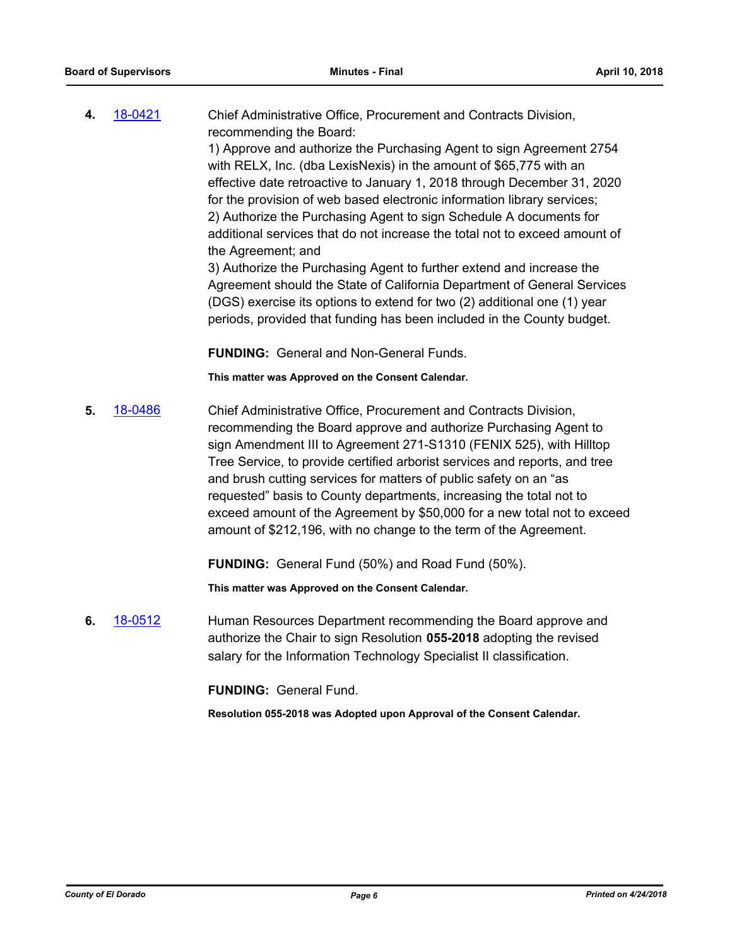**4.** [18-0421](http://eldorado.legistar.com/gateway.aspx?m=l&id=/matter.aspx?key=23766) Chief Administrative Office, Procurement and Contracts Division, recommending the Board: 1) Approve and authorize the Purchasing Agent to sign Agreement 2754 with RELX, Inc. (dba LexisNexis) in the amount of \$65,775 with an effective date retroactive to January 1, 2018 through December 31, 2020 for the provision of web based electronic information library services; 2) Authorize the Purchasing Agent to sign Schedule A documents for additional services that do not increase the total not to exceed amount of the Agreement; and

> 3) Authorize the Purchasing Agent to further extend and increase the Agreement should the State of California Department of General Services (DGS) exercise its options to extend for two (2) additional one (1) year periods, provided that funding has been included in the County budget.

**FUNDING:** General and Non-General Funds.

**This matter was Approved on the Consent Calendar.**

**5.** [18-0486](http://eldorado.legistar.com/gateway.aspx?m=l&id=/matter.aspx?key=23831) Chief Administrative Office, Procurement and Contracts Division, recommending the Board approve and authorize Purchasing Agent to sign Amendment III to Agreement 271-S1310 (FENIX 525), with Hilltop Tree Service, to provide certified arborist services and reports, and tree and brush cutting services for matters of public safety on an "as requested" basis to County departments, increasing the total not to exceed amount of the Agreement by \$50,000 for a new total not to exceed amount of \$212,196, with no change to the term of the Agreement.

**FUNDING:** General Fund (50%) and Road Fund (50%).

**This matter was Approved on the Consent Calendar.**

**6.** [18-0512](http://eldorado.legistar.com/gateway.aspx?m=l&id=/matter.aspx?key=23857) Human Resources Department recommending the Board approve and authorize the Chair to sign Resolution **055-2018** adopting the revised salary for the Information Technology Specialist II classification.

**FUNDING:** General Fund.

**Resolution 055-2018 was Adopted upon Approval of the Consent Calendar.**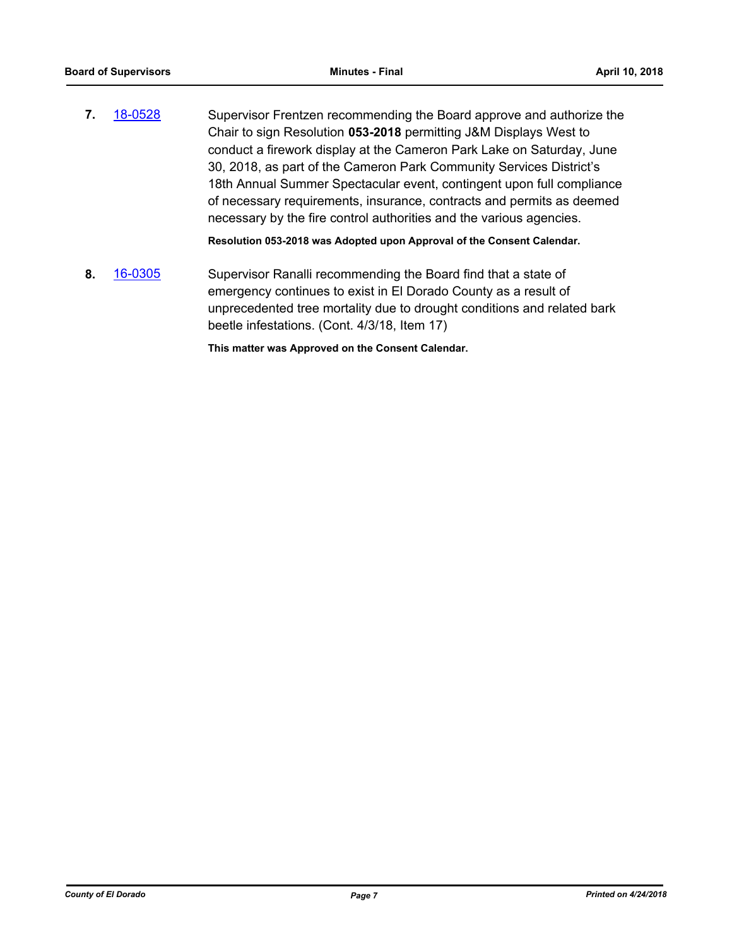**7.** [18-0528](http://eldorado.legistar.com/gateway.aspx?m=l&id=/matter.aspx?key=23873) Supervisor Frentzen recommending the Board approve and authorize the Chair to sign Resolution **053-2018** permitting J&M Displays West to conduct a firework display at the Cameron Park Lake on Saturday, June 30, 2018, as part of the Cameron Park Community Services District's 18th Annual Summer Spectacular event, contingent upon full compliance of necessary requirements, insurance, contracts and permits as deemed necessary by the fire control authorities and the various agencies.

**Resolution 053-2018 was Adopted upon Approval of the Consent Calendar.**

**8.** [16-0305](http://eldorado.legistar.com/gateway.aspx?m=l&id=/matter.aspx?key=20961) Supervisor Ranalli recommending the Board find that a state of emergency continues to exist in El Dorado County as a result of unprecedented tree mortality due to drought conditions and related bark beetle infestations. (Cont. 4/3/18, Item 17)

**This matter was Approved on the Consent Calendar.**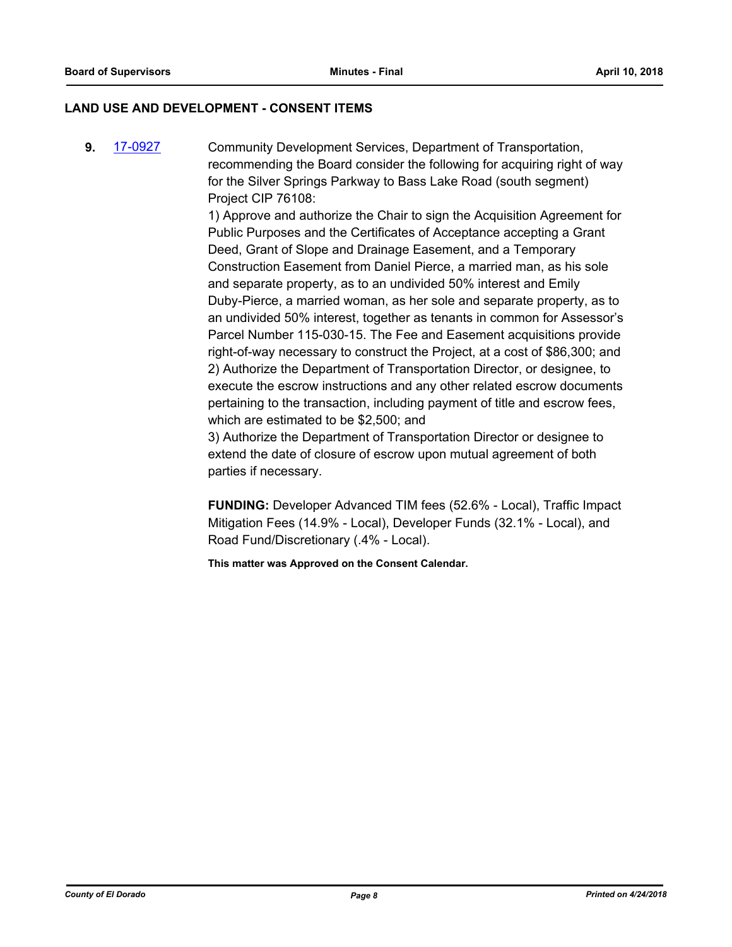#### **LAND USE AND DEVELOPMENT - CONSENT ITEMS**

**9.** [17-0927](http://eldorado.legistar.com/gateway.aspx?m=l&id=/matter.aspx?key=22870) Community Development Services, Department of Transportation, recommending the Board consider the following for acquiring right of way for the Silver Springs Parkway to Bass Lake Road (south segment) Project CIP 76108:

> 1) Approve and authorize the Chair to sign the Acquisition Agreement for Public Purposes and the Certificates of Acceptance accepting a Grant Deed, Grant of Slope and Drainage Easement, and a Temporary Construction Easement from Daniel Pierce, a married man, as his sole and separate property, as to an undivided 50% interest and Emily Duby-Pierce, a married woman, as her sole and separate property, as to an undivided 50% interest, together as tenants in common for Assessor's Parcel Number 115-030-15. The Fee and Easement acquisitions provide right-of-way necessary to construct the Project, at a cost of \$86,300; and 2) Authorize the Department of Transportation Director, or designee, to execute the escrow instructions and any other related escrow documents pertaining to the transaction, including payment of title and escrow fees, which are estimated to be \$2,500; and

3) Authorize the Department of Transportation Director or designee to extend the date of closure of escrow upon mutual agreement of both parties if necessary.

**FUNDING:** Developer Advanced TIM fees (52.6% - Local), Traffic Impact Mitigation Fees (14.9% - Local), Developer Funds (32.1% - Local), and Road Fund/Discretionary (.4% - Local).

**This matter was Approved on the Consent Calendar.**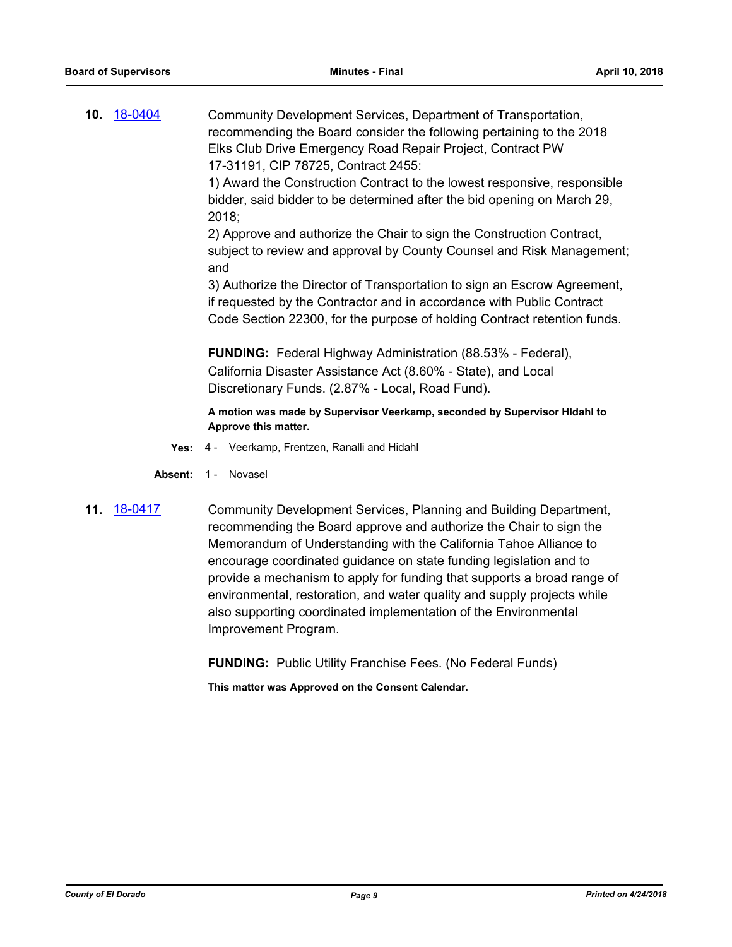**10.** [18-0404](http://eldorado.legistar.com/gateway.aspx?m=l&id=/matter.aspx?key=23749) Community Development Services, Department of Transportation, recommending the Board consider the following pertaining to the 2018 Elks Club Drive Emergency Road Repair Project, Contract PW 17-31191, CIP 78725, Contract 2455: 1) Award the Construction Contract to the lowest responsive, responsible

bidder, said bidder to be determined after the bid opening on March 29, 2018;

2) Approve and authorize the Chair to sign the Construction Contract, subject to review and approval by County Counsel and Risk Management; and

3) Authorize the Director of Transportation to sign an Escrow Agreement, if requested by the Contractor and in accordance with Public Contract Code Section 22300, for the purpose of holding Contract retention funds.

**FUNDING:** Federal Highway Administration (88.53% - Federal), California Disaster Assistance Act (8.60% - State), and Local Discretionary Funds. (2.87% - Local, Road Fund).

**A motion was made by Supervisor Veerkamp, seconded by Supervisor HIdahl to Approve this matter.**

- **Yes:** 4 Veerkamp, Frentzen, Ranalli and Hidahl
- Absent: 1 Novasel
- 

**11.** [18-0417](http://eldorado.legistar.com/gateway.aspx?m=l&id=/matter.aspx?key=23762) Community Development Services, Planning and Building Department, recommending the Board approve and authorize the Chair to sign the Memorandum of Understanding with the California Tahoe Alliance to encourage coordinated guidance on state funding legislation and to provide a mechanism to apply for funding that supports a broad range of environmental, restoration, and water quality and supply projects while also supporting coordinated implementation of the Environmental Improvement Program.

**FUNDING:** Public Utility Franchise Fees. (No Federal Funds)

**This matter was Approved on the Consent Calendar.**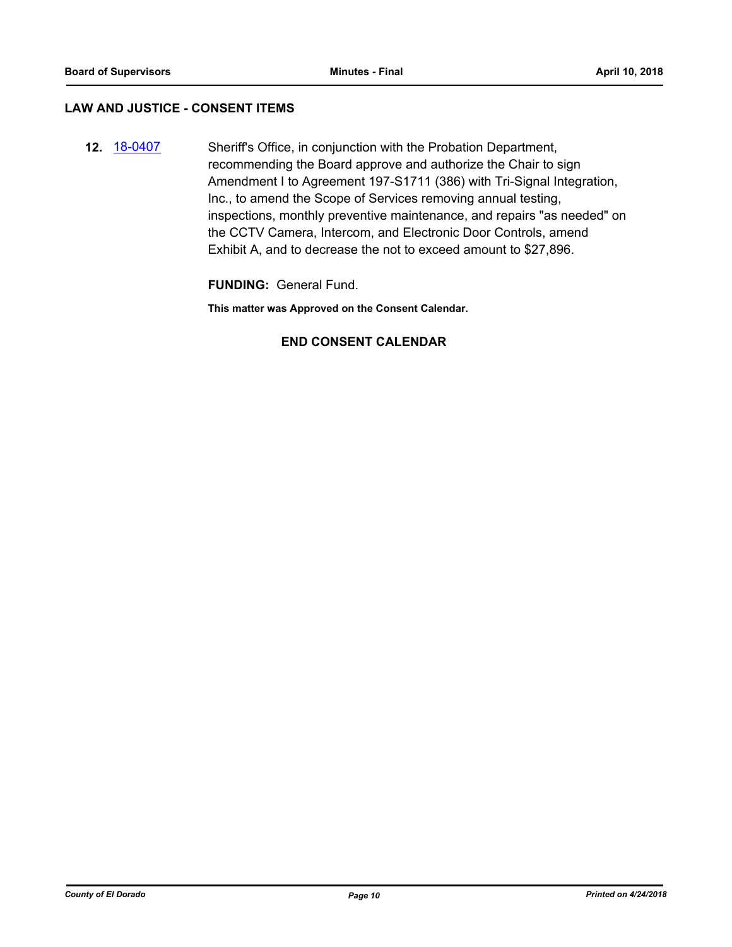#### **LAW AND JUSTICE - CONSENT ITEMS**

**12.** [18-0407](http://eldorado.legistar.com/gateway.aspx?m=l&id=/matter.aspx?key=23752) Sheriff's Office, in conjunction with the Probation Department, recommending the Board approve and authorize the Chair to sign Amendment I to Agreement 197-S1711 (386) with Tri-Signal Integration, Inc., to amend the Scope of Services removing annual testing, inspections, monthly preventive maintenance, and repairs "as needed" on the CCTV Camera, Intercom, and Electronic Door Controls, amend Exhibit A, and to decrease the not to exceed amount to \$27,896.

**FUNDING:** General Fund.

**This matter was Approved on the Consent Calendar.**

#### **END CONSENT CALENDAR**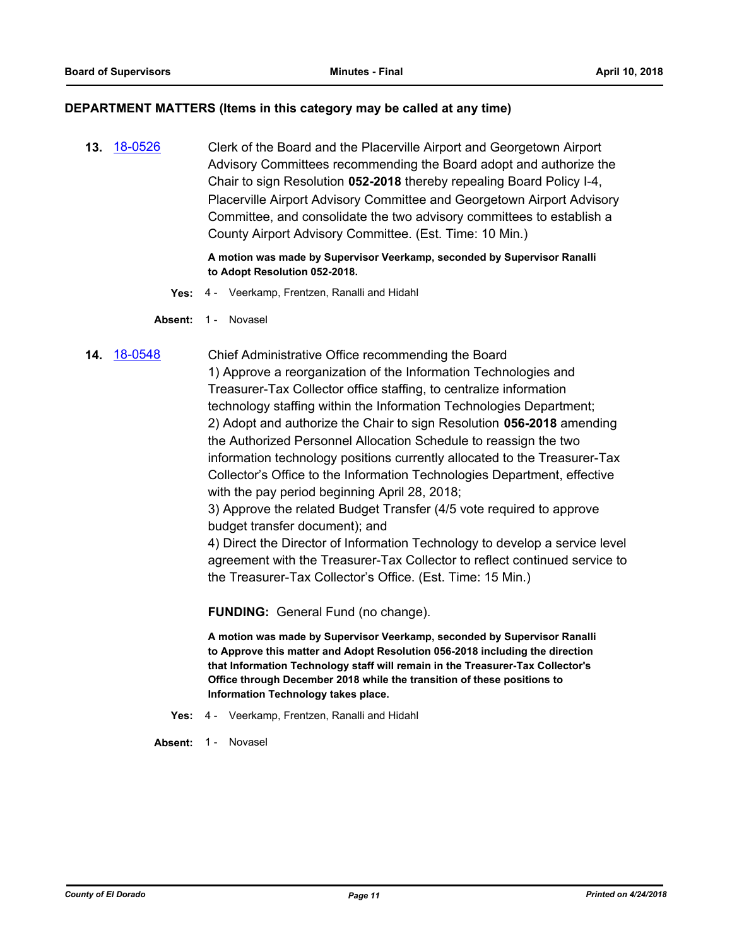#### **DEPARTMENT MATTERS (Items in this category may be called at any time)**

**13.** [18-0526](http://eldorado.legistar.com/gateway.aspx?m=l&id=/matter.aspx?key=23871) Clerk of the Board and the Placerville Airport and Georgetown Airport Advisory Committees recommending the Board adopt and authorize the Chair to sign Resolution **052-2018** thereby repealing Board Policy I-4, Placerville Airport Advisory Committee and Georgetown Airport Advisory Committee, and consolidate the two advisory committees to establish a County Airport Advisory Committee. (Est. Time: 10 Min.)

> **A motion was made by Supervisor Veerkamp, seconded by Supervisor Ranalli to Adopt Resolution 052-2018.**

- **Yes:** 4 Veerkamp, Frentzen, Ranalli and Hidahl
- Absent: 1 Novasel
- **14.** [18-0548](http://eldorado.legistar.com/gateway.aspx?m=l&id=/matter.aspx?key=23893) Chief Administrative Office recommending the Board 1) Approve a reorganization of the Information Technologies and Treasurer-Tax Collector office staffing, to centralize information technology staffing within the Information Technologies Department; 2) Adopt and authorize the Chair to sign Resolution **056-2018** amending the Authorized Personnel Allocation Schedule to reassign the two information technology positions currently allocated to the Treasurer-Tax Collector's Office to the Information Technologies Department, effective with the pay period beginning April 28, 2018;

3) Approve the related Budget Transfer (4/5 vote required to approve budget transfer document); and

4) Direct the Director of Information Technology to develop a service level agreement with the Treasurer-Tax Collector to reflect continued service to the Treasurer-Tax Collector's Office. (Est. Time: 15 Min.)

**FUNDING:** General Fund (no change).

**A motion was made by Supervisor Veerkamp, seconded by Supervisor Ranalli to Approve this matter and Adopt Resolution 056-2018 including the direction that Information Technology staff will remain in the Treasurer-Tax Collector's Office through December 2018 while the transition of these positions to Information Technology takes place.**

- **Yes:** 4 Veerkamp, Frentzen, Ranalli and Hidahl
- **Absent:** 1 Novasel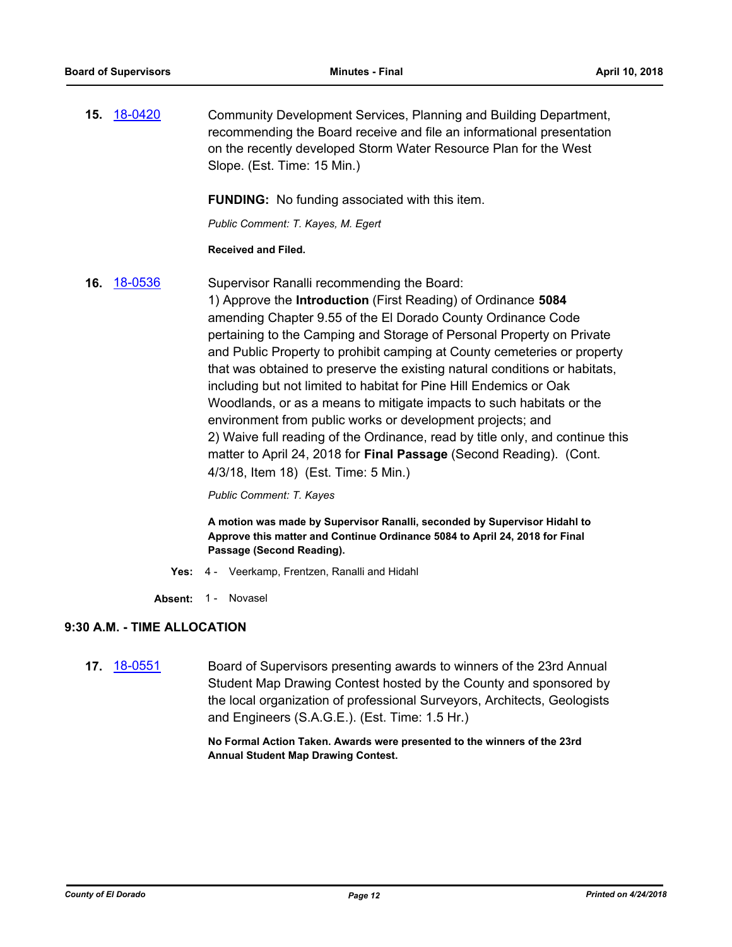**15.** [18-0420](http://eldorado.legistar.com/gateway.aspx?m=l&id=/matter.aspx?key=23765) Community Development Services, Planning and Building Department, recommending the Board receive and file an informational presentation on the recently developed Storm Water Resource Plan for the West Slope. (Est. Time: 15 Min.)

**FUNDING:** No funding associated with this item.

*Public Comment: T. Kayes, M. Egert*

#### **Received and Filed.**

**16.** [18-0536](http://eldorado.legistar.com/gateway.aspx?m=l&id=/matter.aspx?key=23881) Supervisor Ranalli recommending the Board: 1) Approve the **Introduction** (First Reading) of Ordinance **5084** amending Chapter 9.55 of the El Dorado County Ordinance Code pertaining to the Camping and Storage of Personal Property on Private and Public Property to prohibit camping at County cemeteries or property that was obtained to preserve the existing natural conditions or habitats, including but not limited to habitat for Pine Hill Endemics or Oak Woodlands, or as a means to mitigate impacts to such habitats or the environment from public works or development projects; and 2) Waive full reading of the Ordinance, read by title only, and continue this matter to April 24, 2018 for **Final Passage** (Second Reading). (Cont. 4/3/18, Item 18) (Est. Time: 5 Min.)

*Public Comment: T. Kayes*

**A motion was made by Supervisor Ranalli, seconded by Supervisor Hidahl to Approve this matter and Continue Ordinance 5084 to April 24, 2018 for Final Passage (Second Reading).**

- **Yes:** 4 Veerkamp, Frentzen, Ranalli and Hidahl
- Absent: 1 Novasel

### **9:30 A.M. - TIME ALLOCATION**

**17.** [18-0551](http://eldorado.legistar.com/gateway.aspx?m=l&id=/matter.aspx?key=23896) Board of Supervisors presenting awards to winners of the 23rd Annual Student Map Drawing Contest hosted by the County and sponsored by the local organization of professional Surveyors, Architects, Geologists and Engineers (S.A.G.E.). (Est. Time: 1.5 Hr.)

> **No Formal Action Taken. Awards were presented to the winners of the 23rd Annual Student Map Drawing Contest.**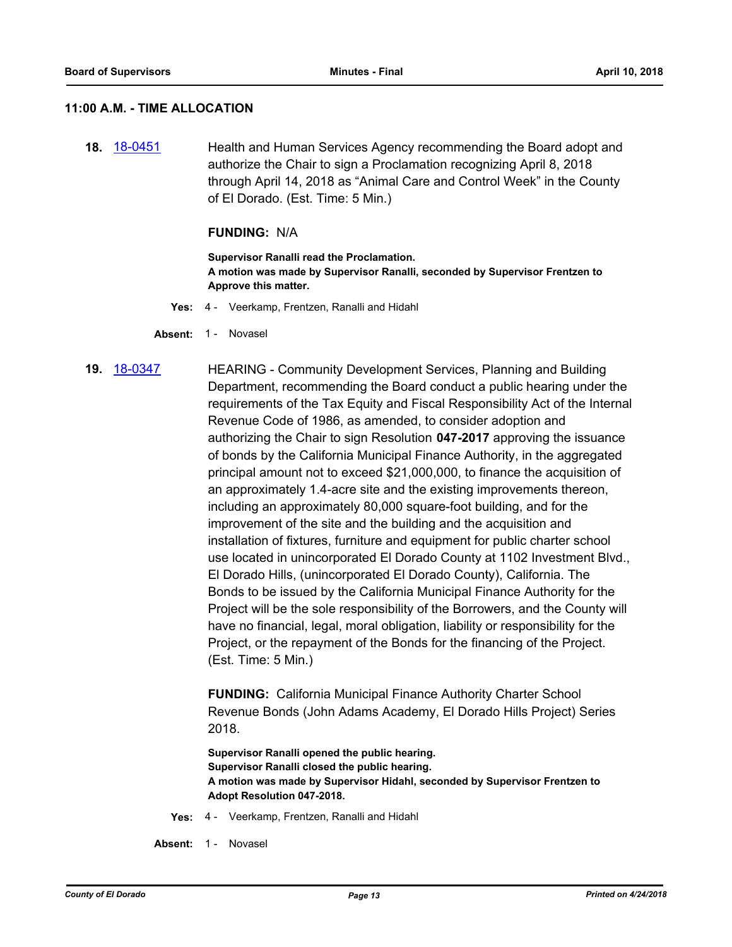#### **11:00 A.M. - TIME ALLOCATION**

**18.** [18-0451](http://eldorado.legistar.com/gateway.aspx?m=l&id=/matter.aspx?key=23796) Health and Human Services Agency recommending the Board adopt and authorize the Chair to sign a Proclamation recognizing April 8, 2018 through April 14, 2018 as "Animal Care and Control Week" in the County of El Dorado. (Est. Time: 5 Min.)

#### **FUNDING:** N/A

**Supervisor Ranalli read the Proclamation. A motion was made by Supervisor Ranalli, seconded by Supervisor Frentzen to Approve this matter.**

- **Yes:** 4 Veerkamp, Frentzen, Ranalli and Hidahl
- Absent: 1 Novasel

## **19.** [18-0347](http://eldorado.legistar.com/gateway.aspx?m=l&id=/matter.aspx?key=23690) HEARING - Community Development Services, Planning and Building Department, recommending the Board conduct a public hearing under the requirements of the Tax Equity and Fiscal Responsibility Act of the Internal Revenue Code of 1986, as amended, to consider adoption and authorizing the Chair to sign Resolution **047-2017** approving the issuance of bonds by the California Municipal Finance Authority, in the aggregated principal amount not to exceed \$21,000,000, to finance the acquisition of an approximately 1.4-acre site and the existing improvements thereon, including an approximately 80,000 square-foot building, and for the improvement of the site and the building and the acquisition and installation of fixtures, furniture and equipment for public charter school use located in unincorporated El Dorado County at 1102 Investment Blvd., El Dorado Hills, (unincorporated El Dorado County), California. The Bonds to be issued by the California Municipal Finance Authority for the Project will be the sole responsibility of the Borrowers, and the County will have no financial, legal, moral obligation, liability or responsibility for the Project, or the repayment of the Bonds for the financing of the Project. (Est. Time: 5 Min.)

**FUNDING:** California Municipal Finance Authority Charter School Revenue Bonds (John Adams Academy, El Dorado Hills Project) Series 2018.

**Supervisor Ranalli opened the public hearing. Supervisor Ranalli closed the public hearing. A motion was made by Supervisor Hidahl, seconded by Supervisor Frentzen to Adopt Resolution 047-2018.**

**Yes:** 4 - Veerkamp, Frentzen, Ranalli and Hidahl

**Absent:** 1 - Novasel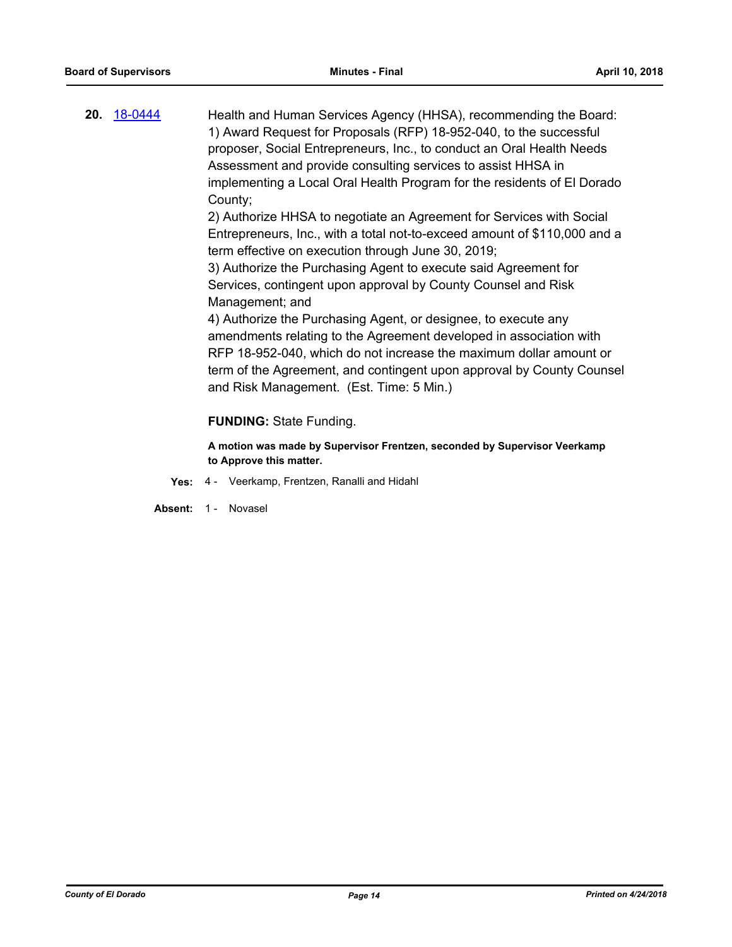**20.** [18-0444](http://eldorado.legistar.com/gateway.aspx?m=l&id=/matter.aspx?key=23789) Health and Human Services Agency (HHSA), recommending the Board: 1) Award Request for Proposals (RFP) 18-952-040, to the successful proposer, Social Entrepreneurs, Inc., to conduct an Oral Health Needs Assessment and provide consulting services to assist HHSA in implementing a Local Oral Health Program for the residents of El Dorado County;

2) Authorize HHSA to negotiate an Agreement for Services with Social Entrepreneurs, Inc., with a total not-to-exceed amount of \$110,000 and a term effective on execution through June 30, 2019;

3) Authorize the Purchasing Agent to execute said Agreement for Services, contingent upon approval by County Counsel and Risk Management; and

4) Authorize the Purchasing Agent, or designee, to execute any amendments relating to the Agreement developed in association with RFP 18-952-040, which do not increase the maximum dollar amount or term of the Agreement, and contingent upon approval by County Counsel and Risk Management. (Est. Time: 5 Min.)

#### **FUNDING:** State Funding.

**A motion was made by Supervisor Frentzen, seconded by Supervisor Veerkamp to Approve this matter.**

**Yes:** 4 - Veerkamp, Frentzen, Ranalli and Hidahl

Absent: 1 - Novasel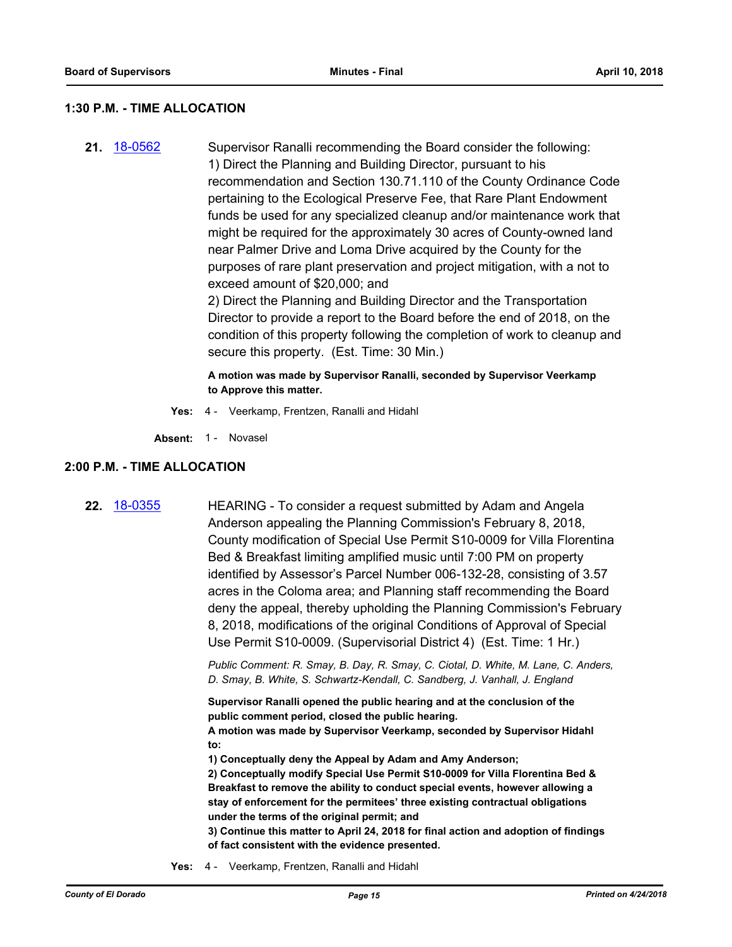#### **1:30 P.M. - TIME ALLOCATION**

**21.** [18-0562](http://eldorado.legistar.com/gateway.aspx?m=l&id=/matter.aspx?key=23907) Supervisor Ranalli recommending the Board consider the following: 1) Direct the Planning and Building Director, pursuant to his recommendation and Section 130.71.110 of the County Ordinance Code pertaining to the Ecological Preserve Fee, that Rare Plant Endowment funds be used for any specialized cleanup and/or maintenance work that might be required for the approximately 30 acres of County-owned land near Palmer Drive and Loma Drive acquired by the County for the purposes of rare plant preservation and project mitigation, with a not to exceed amount of \$20,000; and

2) Direct the Planning and Building Director and the Transportation Director to provide a report to the Board before the end of 2018, on the condition of this property following the completion of work to cleanup and secure this property. (Est. Time: 30 Min.)

**A motion was made by Supervisor Ranalli, seconded by Supervisor Veerkamp to Approve this matter.**

**Yes:** 4 - Veerkamp, Frentzen, Ranalli and Hidahl

Absent: 1 - Novasel

#### **2:00 P.M. - TIME ALLOCATION**

**22.** [18-0355](http://eldorado.legistar.com/gateway.aspx?m=l&id=/matter.aspx?key=23698) HEARING - To consider a request submitted by Adam and Angela Anderson appealing the Planning Commission's February 8, 2018, County modification of Special Use Permit S10-0009 for Villa Florentina Bed & Breakfast limiting amplified music until 7:00 PM on property identified by Assessor's Parcel Number 006-132-28, consisting of 3.57 acres in the Coloma area; and Planning staff recommending the Board deny the appeal, thereby upholding the Planning Commission's February 8, 2018, modifications of the original Conditions of Approval of Special Use Permit S10-0009. (Supervisorial District 4) (Est. Time: 1 Hr.)

> *Public Comment: R. Smay, B. Day, R. Smay, C. Ciotal, D. White, M. Lane, C. Anders, D. Smay, B. White, S. Schwartz-Kendall, C. Sandberg, J. Vanhall, J. England*

**Supervisor Ranalli opened the public hearing and at the conclusion of the public comment period, closed the public hearing.**

**A motion was made by Supervisor Veerkamp, seconded by Supervisor Hidahl to:**

**1) Conceptually deny the Appeal by Adam and Amy Anderson;**

**2) Conceptually modify Special Use Permit S10-0009 for Villa Florentina Bed & Breakfast to remove the ability to conduct special events, however allowing a stay of enforcement for the permitees' three existing contractual obligations under the terms of the original permit; and**

**3) Continue this matter to April 24, 2018 for final action and adoption of findings of fact consistent with the evidence presented.**

**Yes:** 4 - Veerkamp, Frentzen, Ranalli and Hidahl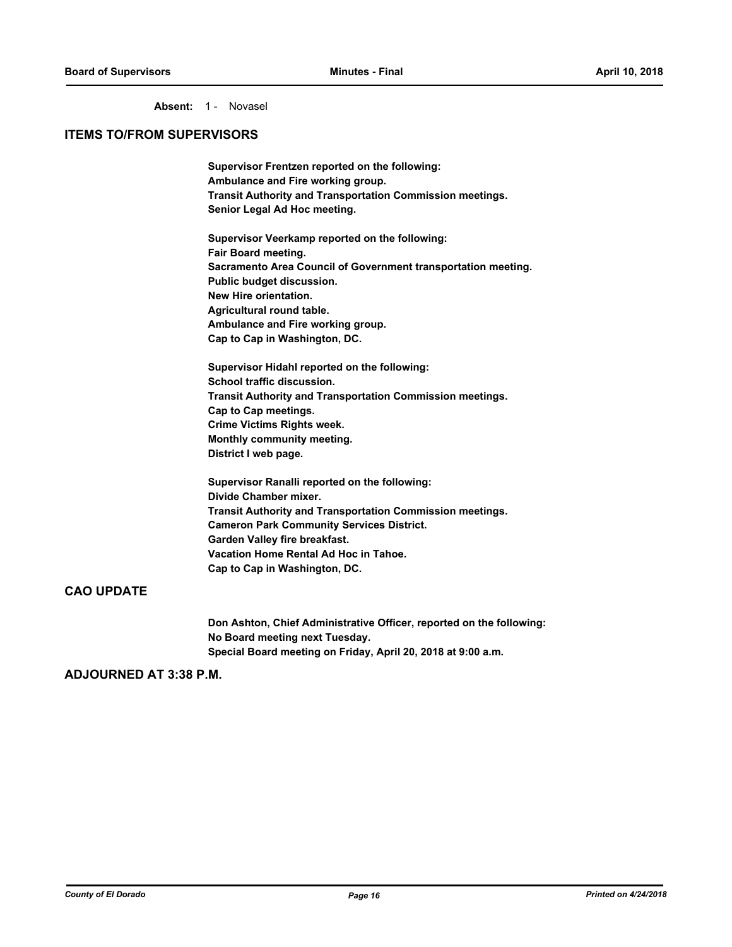Absent: 1 - Novasel

#### **ITEMS TO/FROM SUPERVISORS**

**Supervisor Frentzen reported on the following: Ambulance and Fire working group. Transit Authority and Transportation Commission meetings. Senior Legal Ad Hoc meeting.**

**Supervisor Veerkamp reported on the following: Fair Board meeting. Sacramento Area Council of Government transportation meeting. Public budget discussion. New Hire orientation. Agricultural round table. Ambulance and Fire working group. Cap to Cap in Washington, DC.**

**Supervisor Hidahl reported on the following: School traffic discussion. Transit Authority and Transportation Commission meetings. Cap to Cap meetings. Crime Victims Rights week. Monthly community meeting. District I web page.**

**Supervisor Ranalli reported on the following: Divide Chamber mixer. Transit Authority and Transportation Commission meetings. Cameron Park Community Services District. Garden Valley fire breakfast. Vacation Home Rental Ad Hoc in Tahoe. Cap to Cap in Washington, DC.**

#### **CAO UPDATE**

**Don Ashton, Chief Administrative Officer, reported on the following: No Board meeting next Tuesday. Special Board meeting on Friday, April 20, 2018 at 9:00 a.m.**

#### **ADJOURNED AT 3:38 P.M.**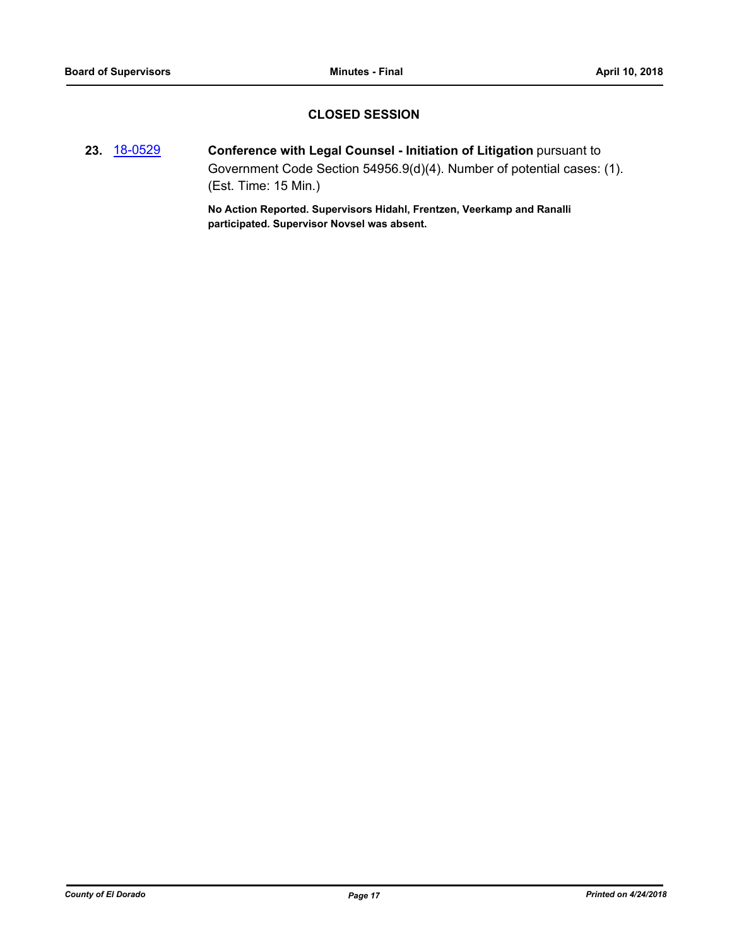### **CLOSED SESSION**

**23.** [18-0529](http://eldorado.legistar.com/gateway.aspx?m=l&id=/matter.aspx?key=23874) **Conference with Legal Counsel - Initiation of Litigation** pursuant to Government Code Section 54956.9(d)(4). Number of potential cases: (1). (Est. Time: 15 Min.)

> **No Action Reported. Supervisors Hidahl, Frentzen, Veerkamp and Ranalli participated. Supervisor Novsel was absent.**